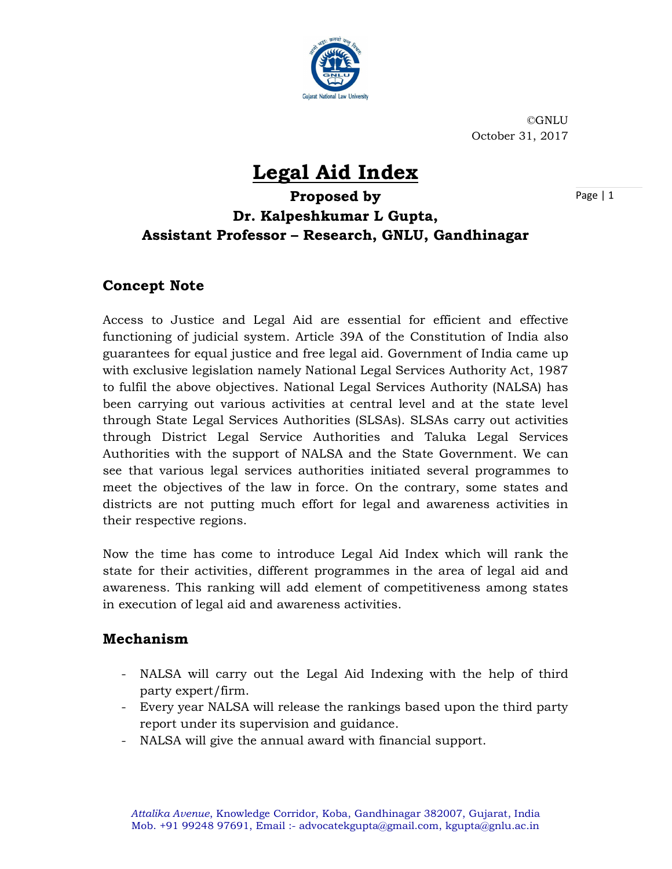

©GNLU October 31, 2017

# Legal Aid Index

Page | 1

## Proposed by Dr. Kalpeshkumar L Gupta, Assistant Professor – Research, GNLU, Gandhinagar

### Concept Note

Access to Justice and Legal Aid are essential for efficient and effective functioning of judicial system. Article 39A of the Constitution of India also guarantees for equal justice and free legal aid. Government of India came up with exclusive legislation namely National Legal Services Authority Act, 1987 to fulfil the above objectives. National Legal Services Authority (NALSA) has been carrying out various activities at central level and at the state level through State Legal Services Authorities (SLSAs). SLSAs carry out activities through District Legal Service Authorities and Taluka Legal Services Authorities with the support of NALSA and the State Government. We can see that various legal services authorities initiated several programmes to meet the objectives of the law in force. On the contrary, some states and districts are not putting much effort for legal and awareness activities in their respective regions.

Now the time has come to introduce Legal Aid Index which will rank the state for their activities, different programmes in the area of legal aid and awareness. This ranking will add element of competitiveness among states in execution of legal aid and awareness activities.

#### Mechanism

- NALSA will carry out the Legal Aid Indexing with the help of third party expert/firm. - Every year NALSA will release the rankings based upon the third party
- 
- report under its supervision and guidance. NALSA will give the annual award with financial support.